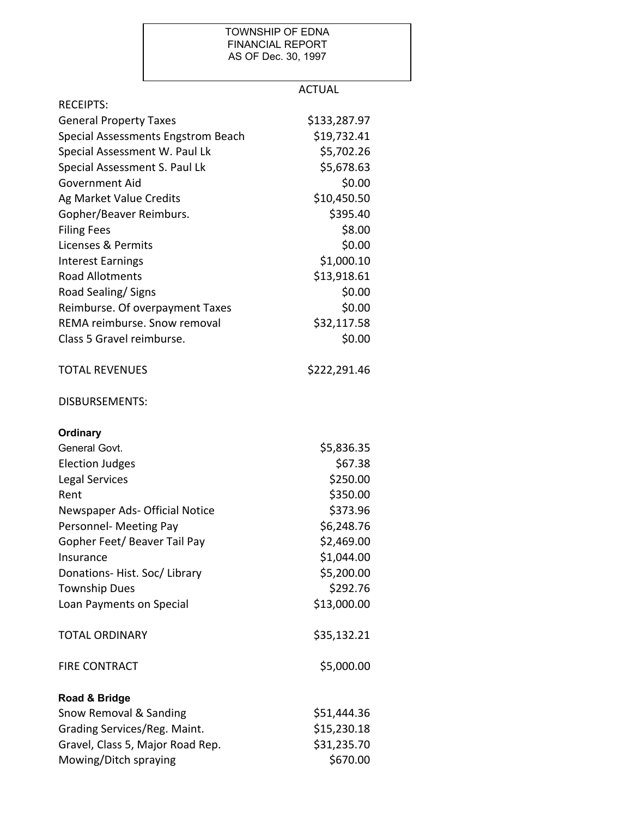## TOWNSHIP OF EDNA FINANCIAL REPORT AS OF Dec. 30, 1997

|                                    | <b>ACTUAL</b> |
|------------------------------------|---------------|
| <b>RECEIPTS:</b>                   |               |
| <b>General Property Taxes</b>      | \$133,287.97  |
| Special Assessments Engstrom Beach | \$19,732.41   |
| Special Assessment W. Paul Lk      | \$5,702.26    |
| Special Assessment S. Paul Lk      | \$5,678.63    |
| <b>Government Aid</b>              | \$0.00        |
| Ag Market Value Credits            | \$10,450.50   |
| Gopher/Beaver Reimburs.            | \$395.40      |
| <b>Filing Fees</b>                 | \$8.00        |
| Licenses & Permits                 | \$0.00        |
| <b>Interest Earnings</b>           | \$1,000.10    |
| <b>Road Allotments</b>             | \$13,918.61   |
| Road Sealing/ Signs                | \$0.00        |
| Reimburse. Of overpayment Taxes    | \$0.00        |
| REMA reimburse. Snow removal       | \$32,117.58   |
| Class 5 Gravel reimburse.          | \$0.00        |
| <b>TOTAL REVENUES</b>              | \$222,291.46  |
| <b>DISBURSEMENTS:</b>              |               |
| Ordinary                           |               |
| General Govt.                      | \$5,836.35    |
| <b>Election Judges</b>             | \$67.38       |
| <b>Legal Services</b>              | \$250.00      |
| Rent                               | \$350.00      |
| Newspaper Ads- Official Notice     | \$373.96      |
| Personnel- Meeting Pay             | \$6,248.76    |
| Gopher Feet/ Beaver Tail Pay       | \$2,469.00    |
| Insurance                          | \$1,044.00    |
| Donations-Hist. Soc/Library        | \$5,200.00    |
| <b>Township Dues</b>               | \$292.76      |
| Loan Payments on Special           | \$13,000.00   |
| <b>TOTAL ORDINARY</b>              | \$35,132.21   |
| <b>FIRE CONTRACT</b>               | \$5,000.00    |
| Road & Bridge                      |               |
| Snow Removal & Sanding             | \$51,444.36   |
| Grading Services/Reg. Maint.       | \$15,230.18   |
| Gravel, Class 5, Major Road Rep.   | \$31,235.70   |
| Mowing/Ditch spraying              | \$670.00      |